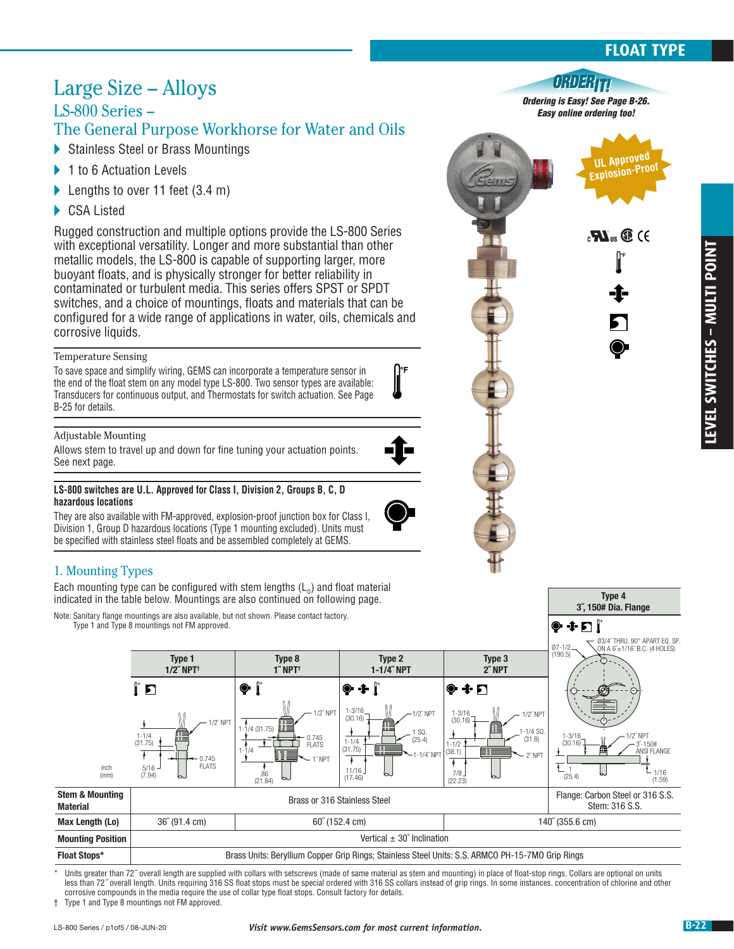### **FLOAT TYPE**

**Approved Explosion-Proof**

*Ordering is Easy! See Page B-26. Easy online ordering too!*

08D386

**°F** 

 $_{c}$ **H** $_{us}$  **C** ( $\epsilon$ 

**Type 4 3˝, 150# Dia. Flange**

**°F** 

### Large Size – Alloys LS-800 Series –

### The General Purpose Workhorse for Water and Oils

- Stainless Steel or Brass Mountings
- ▶ 1 to 6 Actuation Levels
- Lengths to over 11 feet (3.4 m)
- ▶ CSA Listed

Rugged construction and multiple options provide the LS-800 Series with exceptional versatility. Longer and more substantial than other metallic models, the LS-800 is capable of supporting larger, more buoyant floats, and is physically stronger for better reliability in contaminated or turbulent media. This series offers SPST or SPDT switches, and a choice of mountings, floats and materials that can be configured for a wide range of applications in water, oils, chemicals and corrosive liquids.

#### Temperature Sensing

To save space and simplify wiring, GEMS can incorporate a temperature sensor in the end of the float stem on any model type LS-800. Two sensor types are available: Transducers for continuous output, and Thermostats for switch actuation. See Page B-25 for details.

#### Adjustable Mounting

Allows stem to travel up and down for fine tuning your actuation points. See next page.

#### **LS-800 switches are U.L. Approved for Class I, Division 2, Groups B, C, D hazardous locations**

They are also available with FM-approved, explosion-proof junction box for Class I, Division 1, Group D hazardous locations (Type 1 mounting excluded). Units must be specified with stainless steel floats and be assembled completely at GEMS.

### 1. Mounting Types

Each mounting type can be configured with stem lengths  $(L_0)$  and float material indicated in the table below. Mountings are also continued on following page.

Note: Sanitary flange mountings are also available, but not shown. Please contact factory. Type 1 and Type 8 mountings not FM approved.



**°F** 

Units greater than 72<sup>″</sup> overall length are supplied with collars with setscrews (made of same material as stem and mounting) in place of float-stop rings. Collars are optional on units less than 72˝ overall length. Units requiring 316 SS float stops must be special ordered with 316 SS collars instead of grip rings. In some instances, concentration of chlorine and other corrosive compounds in the media require the use of collar type float stops. Consult factory for details.

† Type 1 and Type 8 mountings not FM approved.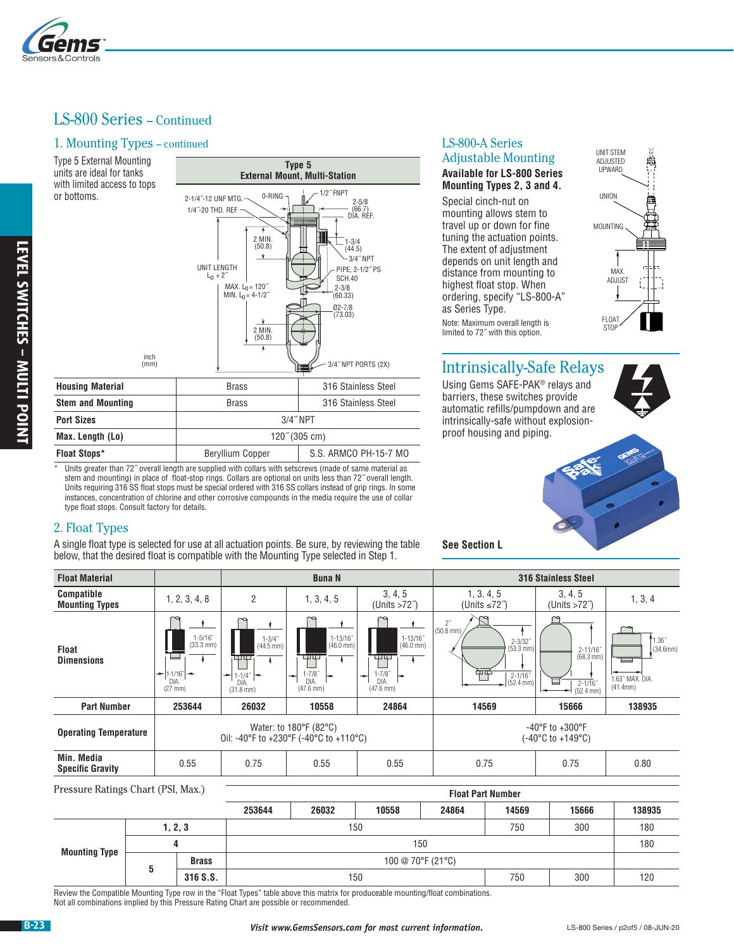

### LS-800 Series – Continued

#### 1. Mounting Types – continued

units are ideal for tanks with limited access to tops or bottoms.



### 2. Float Types

|                                                                                                                                                                                                                                                                                                |              | <b>UNIT LENGTH</b><br>$L_0 + 2^{n}$                                                  | (50.8)<br>$\ddot{\ }$<br>MAX. $L_0 = 120$ <sup>"</sup><br>MIN. $L_0 = 4-1/2$<br>2 MIN.<br>(50.8) | (44.5)<br><b>SCH.40</b><br>$2 - 3/8$<br>(60.33)<br>$Ø2 - 7/8$<br>(73.03)                         | $-3/4$ " NPT<br>PIPE, 2-1/2" PS                                                  | depends on unit length and<br>distance from mounting to<br>highest float stop. When<br>ordering, specify "LS-800-A"<br>as Series Type.<br>Note: Maximum overall length is<br>limited to 72" with this option. | The extent of adjustment                                        |                                                                       | MAX.<br>ADJUST<br>FLOAT<br><b>STOP</b>            |
|------------------------------------------------------------------------------------------------------------------------------------------------------------------------------------------------------------------------------------------------------------------------------------------------|--------------|--------------------------------------------------------------------------------------|--------------------------------------------------------------------------------------------------|--------------------------------------------------------------------------------------------------|----------------------------------------------------------------------------------|---------------------------------------------------------------------------------------------------------------------------------------------------------------------------------------------------------------|-----------------------------------------------------------------|-----------------------------------------------------------------------|---------------------------------------------------|
|                                                                                                                                                                                                                                                                                                | inch<br>(mm) |                                                                                      |                                                                                                  |                                                                                                  | 3/4" NPT PORTS (2X)                                                              |                                                                                                                                                                                                               |                                                                 | <b>Intrinsically-Safe Relays</b>                                      |                                                   |
| <b>Housing Material</b>                                                                                                                                                                                                                                                                        |              |                                                                                      | <b>Brass</b>                                                                                     |                                                                                                  | 316 Stainless Steel                                                              |                                                                                                                                                                                                               |                                                                 | Using Gems SAFE-PAK® relays and                                       |                                                   |
| <b>Stem and Mounting</b>                                                                                                                                                                                                                                                                       |              |                                                                                      | 316 Stainless Steel<br><b>Brass</b>                                                              |                                                                                                  |                                                                                  | barriers, these switches provide                                                                                                                                                                              |                                                                 | automatic refills/pumpdown and are                                    |                                                   |
| <b>Port Sizes</b>                                                                                                                                                                                                                                                                              |              |                                                                                      |                                                                                                  | 3/4" NPT                                                                                         |                                                                                  |                                                                                                                                                                                                               |                                                                 | intrinsically-safe without explosion-                                 |                                                   |
| Max. Length (Lo)                                                                                                                                                                                                                                                                               |              |                                                                                      |                                                                                                  | $120^{\circ}$ (305 cm)                                                                           |                                                                                  | proof housing and piping.                                                                                                                                                                                     |                                                                 |                                                                       |                                                   |
| <b>Float Stops*</b>                                                                                                                                                                                                                                                                            |              |                                                                                      | Beryllium Copper                                                                                 |                                                                                                  | S.S. ARMCO PH-15-7 MO                                                            |                                                                                                                                                                                                               |                                                                 |                                                                       |                                                   |
| Units requiring 316 SS float stops must be special ordered with 316 SS collars instead of grip rings. In some<br>instances, concentration of chlorine and other corrosive compounds in the media require the use of collar<br>type float stops. Consult factory for details.<br>2. Float Types |              |                                                                                      |                                                                                                  | A single float type is selected for use at all actuation points. Be sure, by reviewing the table |                                                                                  | <b>See Section L</b>                                                                                                                                                                                          |                                                                 |                                                                       |                                                   |
| below, that the desired float is compatible with the Mounting Type selected in Step 1.                                                                                                                                                                                                         |              |                                                                                      |                                                                                                  |                                                                                                  |                                                                                  |                                                                                                                                                                                                               |                                                                 |                                                                       |                                                   |
| <b>Float Material</b>                                                                                                                                                                                                                                                                          |              |                                                                                      |                                                                                                  | <b>Buna N</b>                                                                                    |                                                                                  |                                                                                                                                                                                                               |                                                                 | 316 Stainless Steel                                                   |                                                   |
| <b>Compatible</b><br><b>Mounting Types</b>                                                                                                                                                                                                                                                     |              | 1, 2, 3, 4, 8                                                                        | $\overline{2}$                                                                                   | 1, 3, 4, 5                                                                                       | 3, 4, 5<br>(Units $>72^{\circ}$ )                                                | 1, 3, 4, 5<br>(Units $\leq 72$ <sup>")</sup>                                                                                                                                                                  |                                                                 | 3, 4, 5<br>(Units $>72$ <sup>")</sup>                                 | 1, 3, 4                                           |
| <b>Float</b><br><b>Dimensions</b>                                                                                                                                                                                                                                                              |              | $1 - 5/16$<br>$(33.3 \text{ mm})$<br>۸<br>$=$  1-1/16"   $-$<br>DIA.<br>$(27$ mm $)$ | ۰<br>$1 - 3/4$<br>$(44.5 \, \text{mm})$<br>$-1.1/4"$<br>DIA.<br>$(31.8 \text{ mm})$              | $1 - 13/16$<br>$(46.0 \text{ mm})$<br>$1 - 7/8$<br>DIA.<br>$(47.6 \, \text{mm})$                 | $1 - 13/16$<br>$(46.0 \text{ mm})$<br>$1 - 7/8$<br>DIA.<br>$(47.6 \, \text{mm})$ | $\frac{2^{r}}{(50.8)}$ mm)<br>钟                                                                                                                                                                               | $2 - 3/32"$<br>$(53.3 \text{ mm})$<br>$2 - 1/16$ "<br>(52.4 mm) | $2 - 11/16$<br>$(68.3 \, \text{mm})$<br>$\frac{2-1}{16}$<br>(52.4 mm) | 1.36''<br>(34.6mm)<br>1.63" MAX. DIA.<br>(41.4mm) |
| <b>Part Number</b>                                                                                                                                                                                                                                                                             |              | 253644                                                                               | 26032                                                                                            | 10558                                                                                            | 24864                                                                            | 14569                                                                                                                                                                                                         |                                                                 | 15666                                                                 | 138935                                            |
| <b>Operating Temperature</b>                                                                                                                                                                                                                                                                   |              |                                                                                      |                                                                                                  | Water: to 180°F (82°C)<br>Oil: -40°F to +230°F (-40°C to +110°C)                                 |                                                                                  |                                                                                                                                                                                                               |                                                                 | -40°F to +300°F<br>$(-40^{\circ}C \text{ to } +149^{\circ}C)$         |                                                   |
| Min. Media<br><b>Specific Gravity</b>                                                                                                                                                                                                                                                          |              | 0.55                                                                                 | 0.75                                                                                             | 0.55                                                                                             | 0.55                                                                             | 0.75                                                                                                                                                                                                          |                                                                 | 0.75                                                                  | 0.80                                              |
| Pressure Ratings Chart (PSI, Max.)                                                                                                                                                                                                                                                             |              |                                                                                      |                                                                                                  |                                                                                                  |                                                                                  | <b>Float Part Number</b>                                                                                                                                                                                      |                                                                 |                                                                       |                                                   |
|                                                                                                                                                                                                                                                                                                |              |                                                                                      | 253644                                                                                           | 26032                                                                                            | 10558                                                                            | 24864                                                                                                                                                                                                         | 14569                                                           | 15666                                                                 | 138935                                            |
|                                                                                                                                                                                                                                                                                                |              | 1, 2, 3                                                                              |                                                                                                  | 150                                                                                              |                                                                                  |                                                                                                                                                                                                               | 750                                                             | 300                                                                   | 180                                               |
|                                                                                                                                                                                                                                                                                                |              | 4                                                                                    |                                                                                                  |                                                                                                  | 150                                                                              |                                                                                                                                                                                                               |                                                                 |                                                                       | 180                                               |
| <b>Mounting Type</b>                                                                                                                                                                                                                                                                           | 5            | <b>Brass</b>                                                                         |                                                                                                  |                                                                                                  | 100 @ 70°F (21°C)                                                                |                                                                                                                                                                                                               |                                                                 |                                                                       |                                                   |

### LS-800-A Series Adjustable Mounting

#### **Available for LS-800 Series Mounting Types 2, 3 and 4.**

Special cinch-nut on mounting allows stem to travel up or down for fine tuning the actuation points. The extent of adjustment depends on unit length and distance from mounting to highest float stop. When ordering, specify "LS-800-A" as Series Type. Note: Maximum overall length is limited to 72˝ with this option.



### Intrinsically-Safe Relays



|                      |          |              | 253644                                                                                                                           | 26032             | 10558 | 24864 | 14569 | 15666 | 138935 |  |
|----------------------|----------|--------------|----------------------------------------------------------------------------------------------------------------------------------|-------------------|-------|-------|-------|-------|--------|--|
|                      | 1, 2, 3  |              | 150                                                                                                                              |                   |       |       | 750   | 300   | 180    |  |
| <b>Mounting Type</b> |          |              |                                                                                                                                  |                   | 150   |       |       |       | 180    |  |
|                      |          | <b>Brass</b> |                                                                                                                                  | 100 @ 70°F (21°C) |       |       |       |       |        |  |
|                      | 316 S.S. |              |                                                                                                                                  | 750<br>300<br>150 |       |       |       |       |        |  |
|                      |          |              | eview the Compatible Mounting Type row in the "Float Types" table above this matrix for produceable mounting/float combinations. |                   |       |       |       |       |        |  |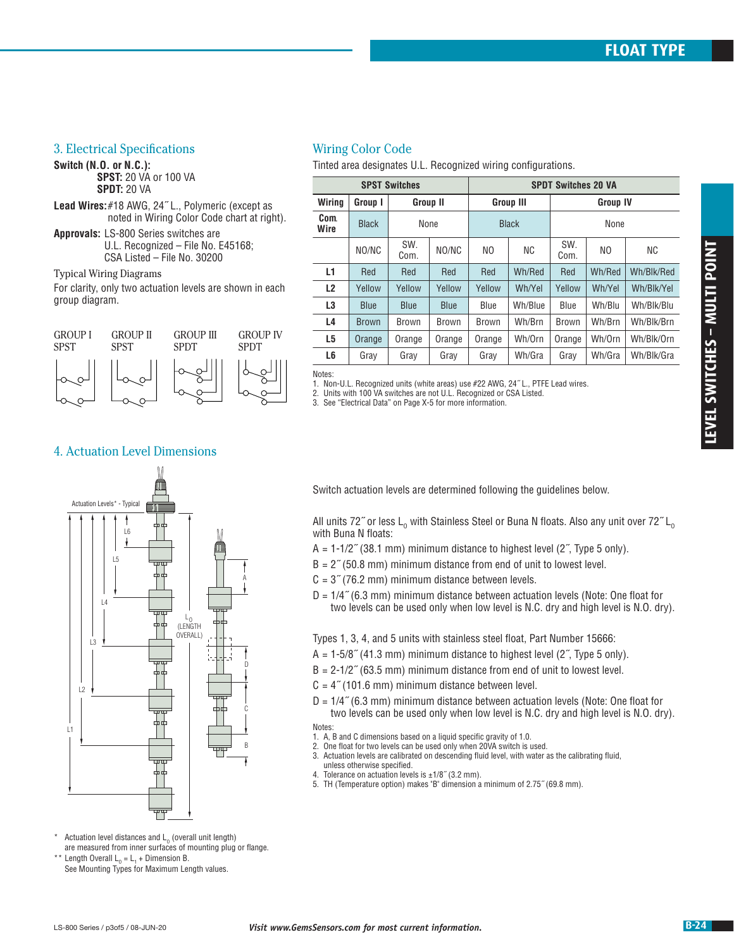#### 3. Electrical Specifications

**Switch (N.O. or N.C.): SPST:** 20 VA or 100 VA **SPDT:** 20 VA

- **Lead Wires:** #18 AWG, 24˝ L., Polymeric (except as noted in Wiring Color Code chart at right).
- **Approvals:** LS-800 Series switches are U.L. Recognized – File No. E45168; CSA Listed – File No. 30200

Typical Wiring Diagrams For clarity, only two actuation levels are shown in each

group diagram.



### Wiring Color Code

Tinted area designates U.L. Recognized wiring configurations.

|              | <b>SPST Switches</b>                                                                                                                                                                                                                                                                                            |              |              |                                                                                                                                                                                                                                                                                                                                                                                                                                                                                                                                                                                                                                                                                                                                                                                                                                                                                                                                                                                                    | <b>SPDT Switches 20 VA</b> |             |                 |                                                                                                                   |  |
|--------------|-----------------------------------------------------------------------------------------------------------------------------------------------------------------------------------------------------------------------------------------------------------------------------------------------------------------|--------------|--------------|----------------------------------------------------------------------------------------------------------------------------------------------------------------------------------------------------------------------------------------------------------------------------------------------------------------------------------------------------------------------------------------------------------------------------------------------------------------------------------------------------------------------------------------------------------------------------------------------------------------------------------------------------------------------------------------------------------------------------------------------------------------------------------------------------------------------------------------------------------------------------------------------------------------------------------------------------------------------------------------------------|----------------------------|-------------|-----------------|-------------------------------------------------------------------------------------------------------------------|--|
| Wiring       | Group II<br>Group I                                                                                                                                                                                                                                                                                             |              |              | <b>Group III</b>                                                                                                                                                                                                                                                                                                                                                                                                                                                                                                                                                                                                                                                                                                                                                                                                                                                                                                                                                                                   |                            |             | <b>Group IV</b> |                                                                                                                   |  |
| Com.<br>Wire | <b>Black</b>                                                                                                                                                                                                                                                                                                    |              | None         | <b>Black</b>                                                                                                                                                                                                                                                                                                                                                                                                                                                                                                                                                                                                                                                                                                                                                                                                                                                                                                                                                                                       |                            | None        |                 |                                                                                                                   |  |
|              | NO/NC                                                                                                                                                                                                                                                                                                           | SW.<br>Com.  | NO/NC        | NO.                                                                                                                                                                                                                                                                                                                                                                                                                                                                                                                                                                                                                                                                                                                                                                                                                                                                                                                                                                                                | ΝC                         | SW.<br>Com. | NO              | ΝC                                                                                                                |  |
| L1           | Red                                                                                                                                                                                                                                                                                                             | Red          | Red          | Red                                                                                                                                                                                                                                                                                                                                                                                                                                                                                                                                                                                                                                                                                                                                                                                                                                                                                                                                                                                                | Wh/Red                     | Red         | Wh/Red          | Wh/Blk/Red                                                                                                        |  |
| L2           | Yellow                                                                                                                                                                                                                                                                                                          | Yellow       | Yellow       | Yellow                                                                                                                                                                                                                                                                                                                                                                                                                                                                                                                                                                                                                                                                                                                                                                                                                                                                                                                                                                                             | Wh/Yel                     | Yellow      | Wh/Yel          | Wh/Blk/Yel                                                                                                        |  |
| L3           | <b>Blue</b>                                                                                                                                                                                                                                                                                                     | <b>Blue</b>  | Blue         | Blue                                                                                                                                                                                                                                                                                                                                                                                                                                                                                                                                                                                                                                                                                                                                                                                                                                                                                                                                                                                               | Wh/Blue                    | Blue        | Wh/Blu          | Wh/Blk/Blu                                                                                                        |  |
| L4           | <b>Brown</b>                                                                                                                                                                                                                                                                                                    | <b>Brown</b> | <b>Brown</b> | Brown                                                                                                                                                                                                                                                                                                                                                                                                                                                                                                                                                                                                                                                                                                                                                                                                                                                                                                                                                                                              | Wh/Brn                     | Brown       | Wh/Brn          | Wh/Blk/Brn                                                                                                        |  |
| L5           | Orange                                                                                                                                                                                                                                                                                                          | Orange       | Orange       | Orange                                                                                                                                                                                                                                                                                                                                                                                                                                                                                                                                                                                                                                                                                                                                                                                                                                                                                                                                                                                             | Wh/Orn                     | Orange      | Wh/Orn          | Wh/Blk/Orn                                                                                                        |  |
| L6           | Gray                                                                                                                                                                                                                                                                                                            | Gray         | Gray         | Gray                                                                                                                                                                                                                                                                                                                                                                                                                                                                                                                                                                                                                                                                                                                                                                                                                                                                                                                                                                                               | Wh/Gra                     | Gray        | Wh/Gra          | Wh/Blk/Gra                                                                                                        |  |
|              | 3. See "Electrical Data" on Page X-5 for more information.                                                                                                                                                                                                                                                      |              |              |                                                                                                                                                                                                                                                                                                                                                                                                                                                                                                                                                                                                                                                                                                                                                                                                                                                                                                                                                                                                    |                            |             |                 |                                                                                                                   |  |
|              | Switch actuation levels are determined following the guidelines below.<br>with Buna N floats:<br>$A = 1-1/2$ " (38.1 mm) minimum distance to highest level (2", Type 5 only).<br>$B = 2''$ (50.8 mm) minimum distance from end of unit to lowest level.<br>$C = 3$ " (76.2 mm) minimum distance between levels. |              |              |                                                                                                                                                                                                                                                                                                                                                                                                                                                                                                                                                                                                                                                                                                                                                                                                                                                                                                                                                                                                    |                            |             |                 | All units 72" or less L <sub>o</sub> with Stainless Steel or Buna N floats. Also any unit over 72" L <sub>o</sub> |  |
| Notes:       | unless otherwise specified.<br>4. Tolerance on actuation levels is ±1/8" (3.2 mm).                                                                                                                                                                                                                              |              |              | $D = 1/4$ " (6.3 mm) minimum distance between actuation levels (Note: One float for<br>two levels can be used only when low level is N.C. dry and high level is N.O. dry).<br>Types 1, 3, 4, and 5 units with stainless steel float, Part Number 15666:<br>$A = 1-5/8$ " (41.3 mm) minimum distance to highest level (2", Type 5 only).<br>$B = 2-1/2$ " (63.5 mm) minimum distance from end of unit to lowest level.<br>$C = 4$ " (101.6 mm) minimum distance between level.<br>$D = 1/4$ " (6.3 mm) minimum distance between actuation levels (Note: One float for<br>two levels can be used only when low level is N.C. dry and high level is N.O. dry).<br>1. A, B and C dimensions based on a liquid specific gravity of 1.0.<br>2. One float for two levels can be used only when 20VA switch is used.<br>3. Actuation levels are calibrated on descending fluid level, with water as the calibrating fluid,<br>5. TH (Temperature option) makes "B" dimension a minimum of 2.75" (69.8 mm). |                            |             |                 |                                                                                                                   |  |
|              |                                                                                                                                                                                                                                                                                                                 |              |              |                                                                                                                                                                                                                                                                                                                                                                                                                                                                                                                                                                                                                                                                                                                                                                                                                                                                                                                                                                                                    |                            |             |                 |                                                                                                                   |  |

#### 4. Actuation Level Dimensions



- Switch actuation levels are determined following the guidelines below.
- All units 72" or less  $L_0$  with Stainless Steel or Buna N floats. Also any unit over 72"  $L_0$ with Buna N floats:
- $A = 1-1/2$ <sup>"</sup> (38.1 mm) minimum distance to highest level (2<sup>"</sup>, Type 5 only).
- $B = 2$ <sup>"</sup> (50.8 mm) minimum distance from end of unit to lowest level.
- $C = 3$ " (76.2 mm) minimum distance between levels.
- D = 1/4˝ (6.3 mm) minimum distance between actuation levels (Note: One float for two levels can be used only when low level is N.C. dry and high level is N.O. dry).

- $A = 1-5/8$ <sup>"</sup> (41.3 mm) minimum distance to highest level (2<sup>"</sup>, Type 5 only).
- $B = 2-1/2$ <sup> $\degree$ </sup> (63.5 mm) minimum distance from end of unit to lowest level.
- $C = 4$ <sup>"</sup> (101.6 mm) minimum distance between level.
- $D = 1/4$ <sup> $\degree$ </sup> (6.3 mm) minimum distance between actuation levels (Note: One float for two levels can be used only when low level is N.C. dry and high level is N.O. dry).

- 1. A, B and C dimensions based on a liquid specific gravity of 1.0.
- 2. One float for two levels can be used only when 20VA switch is used.
- 3. Actuation levels are calibrated on descending fluid level, with water as the calibrating fluid, unless otherwise specified.
- 4. Tolerance on actuation levels is  $\pm 1/8$ <sup>"</sup> (3.2 mm).<br>5. TH (Temperature option) makes "B" dimension a
- TH (Temperature option) makes "B" dimension a minimum of 2.75" (69.8 mm).

Actuation level distances and  $L_0$  (overall unit length) are measured from inner surfaces of mounting plug or flange.

\*\* Length Overall  $L_0 = L_1 +$  Dimension B. See Mounting Types for Maximum Length values.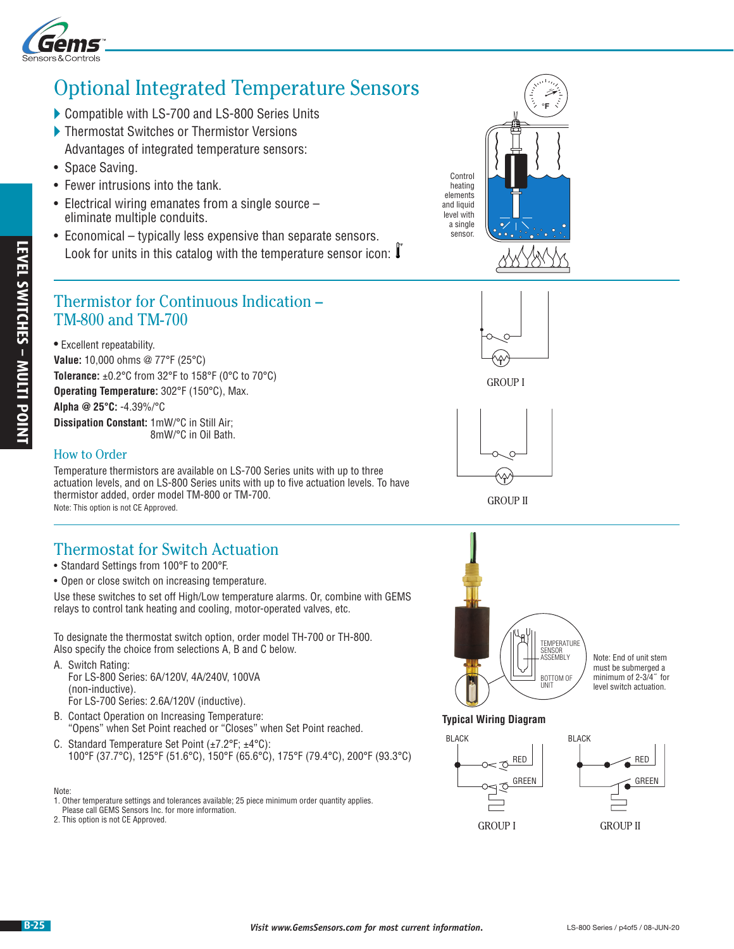

# Optional Integrated Temperature Sensors

- ▶ Compatible with LS-700 and LS-800 Series Units
- ▶ Thermostat Switches or Thermistor Versions Advantages of integrated temperature sensors:
- Space Saving.
- Fewer intrusions into the tank.
- Electrical wiring emanates from a single source eliminate multiple conduits.
- **°F** • Economical – typically less expensive than separate sensors. Look for units in this catalog with the temperature sensor icon:  $\downarrow$

### Thermistor for Continuous Indication – TM-800 and TM-700

**B-25 Example 1 B-25 Victor Control Control Control Control Control Control Control Control Control Control Control Control Control Control Control Control Control Control Control Control Control Control Control Cont** • Excellent repeatability. **Value:** 10,000 ohms @ 77°F (25°C) **Tolerance:** ±0.2°C from 32°F to 158°F (0°C to 70°C) **Operating Temperature:** 302°F (150°C), Max. **Alpha @ 25°C:** -4.39%/°C **Dissipation Constant:** 1mW/°C in Still Air;

8mW/°C in Oil Bath.

#### How to Order

Temperature thermistors are available on LS-700 Series units with up to three actuation levels, and on LS-800 Series units with up to five actuation levels. To have thermistor added, order model TM-800 or TM-700. Note: This option is not CE Approved.

### Thermostat for Switch Actuation

- Standard Settings from 100°F to 200°F.
- Open or close switch on increasing temperature.

Use these switches to set off High/Low temperature alarms. Or, combine with GEMS relays to control tank heating and cooling, motor-operated valves, etc.

To designate the thermostat switch option, order model TH-700 or TH-800. Also specify the choice from selections A, B and C below.

A. Switch Rating: For LS-800 Series: 6A/120V, 4A/240V, 100VA (non-inductive). For LS-700 Series: 2.6A/120V (inductive).

- B. Contact Operation on Increasing Temperature: "Opens" when Set Point reached or "Closes" when Set Point reached.
- C. Standard Temperature Set Point (±7.2°F; ±4°C): 100°F (37.7°C), 125°F (51.6°C), 150°F (65.6°C), 175°F (79.4°C), 200°F (93.3°C)
- Note:

2. This option is not CE Approved.





GROUP I



GROUP II



Note: End of unit stem must be submerged a minimum of 2-3/4˝ for level switch actuation.

#### **Typical Wiring Diagram**



BLACK RED **GREEN** 

<sup>1.</sup> Other temperature settings and tolerances available; 25 piece minimum order quantity applies. Please call GEMS Sensors Inc. for more information.